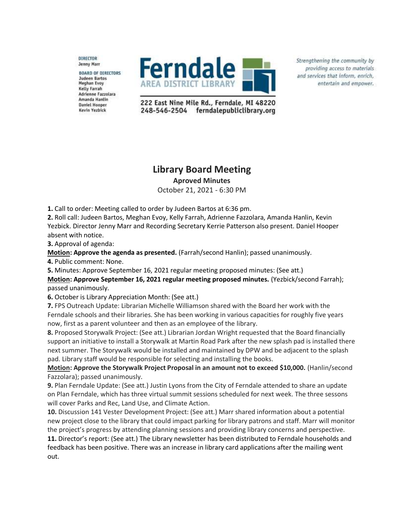DIRECTOR **Jenny Marr** 

**BOARD OF DIRECTORS Judeen Bartos Meghan Evoy Kelly Farrah** Adrienne Fazzolara Amanda Hanlin **Daniel Hooper** Kevin Yezbick



Strengthening the community by providing access to materials and services that inform, enrich, entertain and empower.

222 East Nine Mile Rd., Ferndale, MI 48220 248-546-2504 ferndalepubliclibrary.org

## **Library Board Meeting**

**Aproved Minutes**

October 21, 2021 - 6:30 PM

**1.** Call to order: Meeting called to order by Judeen Bartos at 6:36 pm.

**2.** Roll call: Judeen Bartos, Meghan Evoy, Kelly Farrah, Adrienne Fazzolara, Amanda Hanlin, Kevin Yezbick. Director Jenny Marr and Recording Secretary Kerrie Patterson also present. Daniel Hooper absent with notice.

**3.** Approval of agenda:

**Motion: Approve the agenda as presented.** (Farrah/second Hanlin); passed unanimously.

**4.** Public comment: None.

**5.** Minutes: Approve September 16, 2021 regular meeting proposed minutes: (See att.)

**Motion: Approve September 16, 2021 regular meeting proposed minutes.** (Yezbick/second Farrah); passed unanimously.

**6.** October is Library Appreciation Month: (See att.)

**7.** FPS Outreach Update: Librarian Michelle Williamson shared with the Board her work with the Ferndale schools and their libraries. She has been working in various capacities for roughly five years now, first as a parent volunteer and then as an employee of the library.

**8.** Proposed Storywalk Project: (See att.) Librarian Jordan Wright requested that the Board financially support an initiative to install a Storywalk at Martin Road Park after the new splash pad is installed there next summer. The Storywalk would be installed and maintained by DPW and be adjacent to the splash pad. Library staff would be responsible for selecting and installing the books.

**Motion: Approve the Storywalk Project Proposal in an amount not to exceed \$10,000.** (Hanlin/second Fazzolara); passed unanimously.

**9.** Plan Ferndale Update: (See att.) Justin Lyons from the City of Ferndale attended to share an update on Plan Ferndale, which has three virtual summit sessions scheduled for next week. The three sessons will cover Parks and Rec, Land Use, and Climate Action.

**10.** Discussion 141 Vester Development Project: (See att.) Marr shared information about a potential new project close to the library that could impact parking for library patrons and staff. Marr will monitor the project's progress by attending planning sessions and providing library concerns and perspective.

**11.** Director's report: (See att.) The Library newsletter has been distributed to Ferndale households and feedback has been positive. There was an increase in library card applications after the mailing went out.